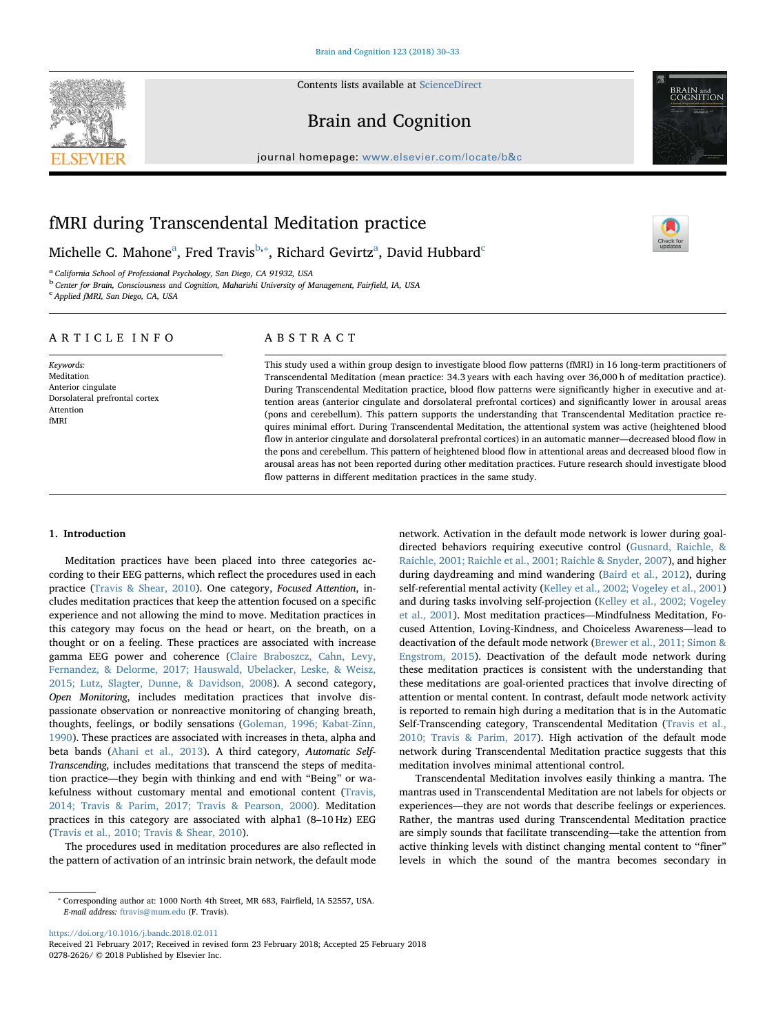Contents lists available at [ScienceDirect](http://www.sciencedirect.com/science/journal/02782626)





 $j$ ornal homepage: [www.elsevier.com/locate/b&c](https://www.elsevier.com/locate/b&c)atee/b&catee/b&catee/b&catee/b&catee/b&catee/b&catee/b&catee/b&catee/b&catee/b&catee/b&catee/b&catee/b&catee/b&catee/b&catee/b&catee/b&catee/b&catee/b&catee/b&catee/b&catee/b&



[T](http://crossmark.crossref.org/dialog/?doi=10.1016/j.bandc.2018.02.011&domain=pdf)

# fMRI during Transcendental Meditation practice

Michelle C. M[a](#page-0-0)hone<sup>a</sup>, Fred Travis<sup>[b](#page-0-1),</sup>\*, Ri[c](#page-0-3)hard Gevirtz<sup>a</sup>, David Hubbard<sup>c</sup>

<span id="page-0-0"></span><sup>a</sup> California School of Professional Psychology, San Diego, CA 91932, USA

<span id="page-0-1"></span><sup>b</sup> Center for Brain, Consciousness and Cognition, Maharishi University of Management, Fairfield, IA, USA <sup>c</sup>

<span id="page-0-3"></span><sup>c</sup> Applied fMRI, San Diego, CA, USA

## ARTICLE INFO

Keywords: Meditation Anterior cingulate Dorsolateral prefrontal cortex Attention fMRI

# ABSTRACT

This study used a within group design to investigate blood flow patterns (fMRI) in 16 long-term practitioners of Transcendental Meditation (mean practice: 34.3 years with each having over 36,000 h of meditation practice). During Transcendental Meditation practice, blood flow patterns were significantly higher in executive and attention areas (anterior cingulate and dorsolateral prefrontal cortices) and significantly lower in arousal areas (pons and cerebellum). This pattern supports the understanding that Transcendental Meditation practice requires minimal effort. During Transcendental Meditation, the attentional system was active (heightened blood flow in anterior cingulate and dorsolateral prefrontal cortices) in an automatic manner—decreased blood flow in the pons and cerebellum. This pattern of heightened blood flow in attentional areas and decreased blood flow in arousal areas has not been reported during other meditation practices. Future research should investigate blood flow patterns in different meditation practices in the same study.

#### 1. Introduction

Meditation practices have been placed into three categories according to their EEG patterns, which reflect the procedures used in each practice [\(Travis & Shear, 2010](#page-3-0)). One category, Focused Attention, includes meditation practices that keep the attention focused on a specific experience and not allowing the mind to move. Meditation practices in this category may focus on the head or heart, on the breath, on a thought or on a feeling. These practices are associated with increase gamma EEG power and coherence ([Claire Braboszcz, Cahn, Levy,](#page-2-0) [Fernandez, & Delorme, 2017; Hauswald, Ubelacker, Leske, & Weisz,](#page-2-0) [2015; Lutz, Slagter, Dunne, & Davidson, 2008\)](#page-2-0). A second category, Open Monitoring, includes meditation practices that involve dispassionate observation or nonreactive monitoring of changing breath, thoughts, feelings, or bodily sensations [\(Goleman, 1996; Kabat-Zinn,](#page-2-1) [1990\)](#page-2-1). These practices are associated with increases in theta, alpha and beta bands ([Ahani et al., 2013\)](#page-2-2). A third category, Automatic Self-Transcending, includes meditations that transcend the steps of meditation practice—they begin with thinking and end with "Being" or wakefulness without customary mental and emotional content ([Travis,](#page-3-1) [2014; Travis & Parim, 2017; Travis & Pearson, 2000](#page-3-1)). Meditation practices in this category are associated with alpha1 (8–10 Hz) EEG ([Travis et al., 2010; Travis & Shear, 2010\)](#page-3-2).

The procedures used in meditation procedures are also reflected in the pattern of activation of an intrinsic brain network, the default mode network. Activation in the default mode network is lower during goaldirected behaviors requiring executive control ([Gusnard, Raichle, &](#page-3-3) [Raichle, 2001; Raichle et al., 2001; Raichle & Snyder, 2007\)](#page-3-3), and higher during daydreaming and mind wandering ([Baird et al., 2012](#page-2-3)), during self-referential mental activity ([Kelley et al., 2002; Vogeley et al., 2001\)](#page-3-4) and during tasks involving self-projection ([Kelley et al., 2002; Vogeley](#page-3-4) [et al., 2001](#page-3-4)). Most meditation practices—Mindfulness Meditation, Focused Attention, Loving-Kindness, and Choiceless Awareness—lead to deactivation of the default mode network ([Brewer et al., 2011; Simon &](#page-2-4) [Engstrom, 2015](#page-2-4)). Deactivation of the default mode network during these meditation practices is consistent with the understanding that these meditations are goal-oriented practices that involve directing of attention or mental content. In contrast, default mode network activity is reported to remain high during a meditation that is in the Automatic Self-Transcending category, Transcendental Meditation [\(Travis et al.,](#page-3-2) [2010; Travis & Parim, 2017](#page-3-2)). High activation of the default mode network during Transcendental Meditation practice suggests that this meditation involves minimal attentional control.

Transcendental Meditation involves easily thinking a mantra. The mantras used in Transcendental Meditation are not labels for objects or experiences—they are not words that describe feelings or experiences. Rather, the mantras used during Transcendental Meditation practice are simply sounds that facilitate transcending—take the attention from active thinking levels with distinct changing mental content to ''finer" levels in which the sound of the mantra becomes secondary in

<https://doi.org/10.1016/j.bandc.2018.02.011>

<span id="page-0-2"></span><sup>⁎</sup> Corresponding author at: 1000 North 4th Street, MR 683, Fairfield, IA 52557, USA. E-mail address: [ftravis@mum.edu](mailto:ftravis@mum.edu) (F. Travis).

Received 21 February 2017; Received in revised form 23 February 2018; Accepted 25 February 2018 0278-2626/ © 2018 Published by Elsevier Inc.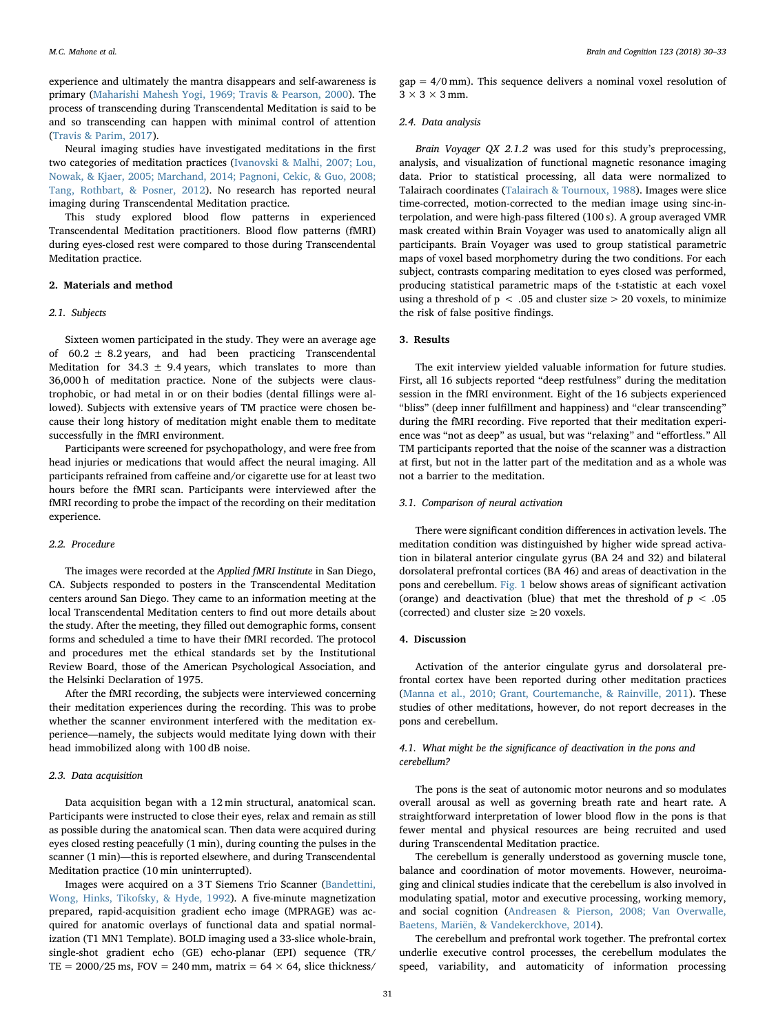experience and ultimately the mantra disappears and self-awareness is primary ([Maharishi Mahesh Yogi, 1969; Travis & Pearson, 2000](#page-3-5)). The process of transcending during Transcendental Meditation is said to be and so transcending can happen with minimal control of attention ([Travis & Parim, 2017](#page-3-6)).

Neural imaging studies have investigated meditations in the first two categories of meditation practices ([Ivanovski & Malhi, 2007; Lou,](#page-3-7) [Nowak, & Kjaer, 2005; Marchand, 2014; Pagnoni, Cekic, & Guo, 2008;](#page-3-7) [Tang, Rothbart, & Posner, 2012\)](#page-3-7). No research has reported neural imaging during Transcendental Meditation practice.

This study explored blood flow patterns in experienced Transcendental Meditation practitioners. Blood flow patterns (fMRI) during eyes-closed rest were compared to those during Transcendental Meditation practice.

#### 2. Materials and method

#### 2.1. Subjects

Sixteen women participated in the study. They were an average age of  $60.2 \pm 8.2$  years, and had been practicing Transcendental Meditation for 34.3  $\pm$  9.4 years, which translates to more than 36,000 h of meditation practice. None of the subjects were claustrophobic, or had metal in or on their bodies (dental fillings were allowed). Subjects with extensive years of TM practice were chosen because their long history of meditation might enable them to meditate successfully in the fMRI environment.

Participants were screened for psychopathology, and were free from head injuries or medications that would affect the neural imaging. All participants refrained from caffeine and/or cigarette use for at least two hours before the fMRI scan. Participants were interviewed after the fMRI recording to probe the impact of the recording on their meditation experience.

#### 2.2. Procedure

The images were recorded at the Applied fMRI Institute in San Diego, CA. Subjects responded to posters in the Transcendental Meditation centers around San Diego. They came to an information meeting at the local Transcendental Meditation centers to find out more details about the study. After the meeting, they filled out demographic forms, consent forms and scheduled a time to have their fMRI recorded. The protocol and procedures met the ethical standards set by the Institutional Review Board, those of the American Psychological Association, and the Helsinki Declaration of 1975.

After the fMRI recording, the subjects were interviewed concerning their meditation experiences during the recording. This was to probe whether the scanner environment interfered with the meditation experience—namely, the subjects would meditate lying down with their head immobilized along with 100 dB noise.

#### 2.3. Data acquisition

Data acquisition began with a 12 min structural, anatomical scan. Participants were instructed to close their eyes, relax and remain as still as possible during the anatomical scan. Then data were acquired during eyes closed resting peacefully (1 min), during counting the pulses in the scanner (1 min)—this is reported elsewhere, and during Transcendental Meditation practice (10 min uninterrupted).

Images were acquired on a 3 T Siemens Trio Scanner ([Bandettini,](#page-2-5) [Wong, Hinks, Tikofsky, & Hyde, 1992\)](#page-2-5). A five-minute magnetization prepared, rapid-acquisition gradient echo image (MPRAGE) was acquired for anatomic overlays of functional data and spatial normalization (T1 MN1 Template). BOLD imaging used a 33-slice whole-brain, single-shot gradient echo (GE) echo-planar (EPI) sequence (TR/ TE =  $2000/25$  ms, FOV = 240 mm, matrix =  $64 \times 64$ , slice thickness/

 $gap = 4/0$  mm). This sequence delivers a nominal voxel resolution of  $3 \times 3 \times 3$  mm.

#### 2.4. Data analysis

Brain Voyager QX 2.1.2 was used for this study's preprocessing, analysis, and visualization of functional magnetic resonance imaging data. Prior to statistical processing, all data were normalized to Talairach coordinates [\(Talairach & Tournoux, 1988](#page-3-8)). Images were slice time-corrected, motion-corrected to the median image using sinc-interpolation, and were high-pass filtered (100 s). A group averaged VMR mask created within Brain Voyager was used to anatomically align all participants. Brain Voyager was used to group statistical parametric maps of voxel based morphometry during the two conditions. For each subject, contrasts comparing meditation to eyes closed was performed, producing statistical parametric maps of the t-statistic at each voxel using a threshold of  $p < .05$  and cluster size  $> 20$  voxels, to minimize the risk of false positive findings.

#### 3. Results

The exit interview yielded valuable information for future studies. First, all 16 subjects reported "deep restfulness" during the meditation session in the fMRI environment. Eight of the 16 subjects experienced "bliss" (deep inner fulfillment and happiness) and "clear transcending" during the fMRI recording. Five reported that their meditation experience was "not as deep" as usual, but was "relaxing" and "effortless." All TM participants reported that the noise of the scanner was a distraction at first, but not in the latter part of the meditation and as a whole was not a barrier to the meditation.

#### 3.1. Comparison of neural activation

There were significant condition differences in activation levels. The meditation condition was distinguished by higher wide spread activation in bilateral anterior cingulate gyrus (BA 24 and 32) and bilateral dorsolateral prefrontal cortices (BA 46) and areas of deactivation in the pons and cerebellum. [Fig. 1](#page-2-6) below shows areas of significant activation (orange) and deactivation (blue) that met the threshold of  $p < .05$ (corrected) and cluster size  $\geq 20$  voxels.

### 4. Discussion

Activation of the anterior cingulate gyrus and dorsolateral prefrontal cortex have been reported during other meditation practices ([Manna et al., 2010; Grant, Courtemanche, & Rainville, 2011\)](#page-3-9). These studies of other meditations, however, do not report decreases in the pons and cerebellum.

#### 4.1. What might be the significance of deactivation in the pons and cerebellum?

The pons is the seat of autonomic motor neurons and so modulates overall arousal as well as governing breath rate and heart rate. A straightforward interpretation of lower blood flow in the pons is that fewer mental and physical resources are being recruited and used during Transcendental Meditation practice.

The cerebellum is generally understood as governing muscle tone, balance and coordination of motor movements. However, neuroimaging and clinical studies indicate that the cerebellum is also involved in modulating spatial, motor and executive processing, working memory, and social cognition [\(Andreasen & Pierson, 2008; Van Overwalle,](#page-2-7) [Baetens, Mariën, & Vandekerckhove, 2014](#page-2-7)).

The cerebellum and prefrontal work together. The prefrontal cortex underlie executive control processes, the cerebellum modulates the speed, variability, and automaticity of information processing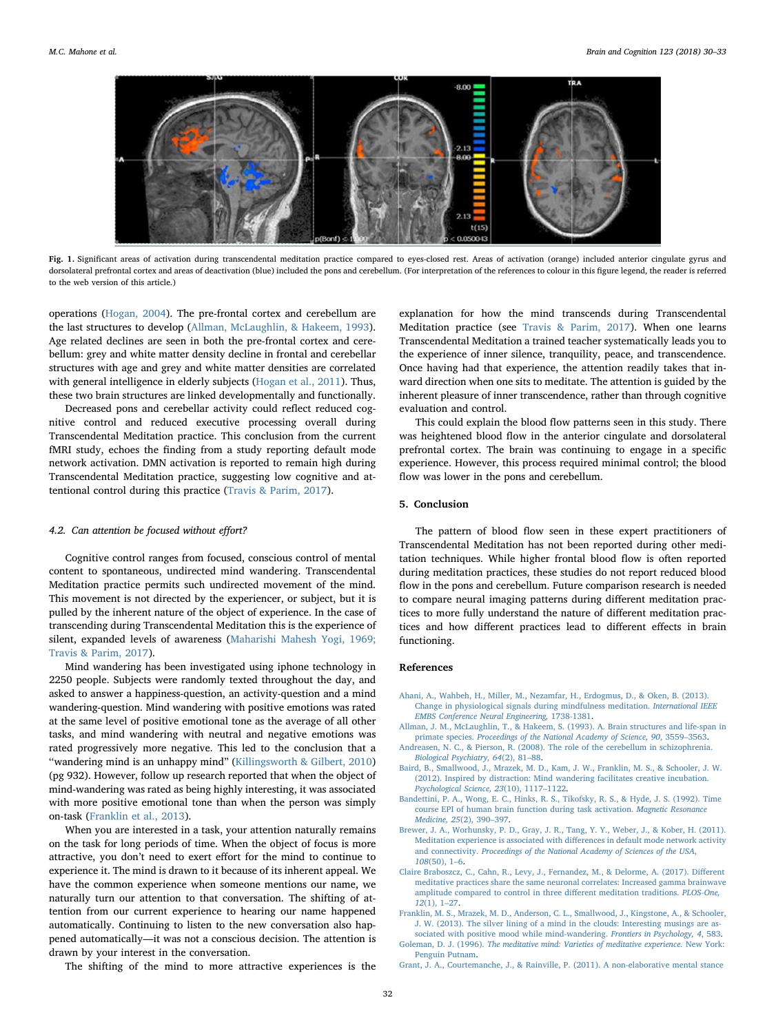<span id="page-2-6"></span>

Fig. 1. Significant areas of activation during transcendental meditation practice compared to eyes-closed rest. Areas of activation (orange) included anterior cingulate gyrus and dorsolateral prefrontal cortex and areas of deactivation (blue) included the pons and cerebellum. (For interpretation of the references to colour in this figure legend, the reader is referred to the web version of this article.)

operations ([Hogan, 2004\)](#page-3-10). The pre-frontal cortex and cerebellum are the last structures to develop ([Allman, McLaughlin, & Hakeem, 1993](#page-2-8)). Age related declines are seen in both the pre-frontal cortex and cerebellum: grey and white matter density decline in frontal and cerebellar structures with age and grey and white matter densities are correlated with general intelligence in elderly subjects ([Hogan et al., 2011\)](#page-3-11). Thus, these two brain structures are linked developmentally and functionally.

Decreased pons and cerebellar activity could reflect reduced cognitive control and reduced executive processing overall during Transcendental Meditation practice. This conclusion from the current fMRI study, echoes the finding from a study reporting default mode network activation. DMN activation is reported to remain high during Transcendental Meditation practice, suggesting low cognitive and attentional control during this practice ([Travis & Parim, 2017](#page-3-6)).

#### 4.2. Can attention be focused without effort?

Cognitive control ranges from focused, conscious control of mental content to spontaneous, undirected mind wandering. Transcendental Meditation practice permits such undirected movement of the mind. This movement is not directed by the experiencer, or subject, but it is pulled by the inherent nature of the object of experience. In the case of transcending during Transcendental Meditation this is the experience of silent, expanded levels of awareness ([Maharishi Mahesh Yogi, 1969;](#page-3-5) [Travis & Parim, 2017](#page-3-5)).

Mind wandering has been investigated using iphone technology in 2250 people. Subjects were randomly texted throughout the day, and asked to answer a happiness-question, an activity-question and a mind wandering-question. Mind wandering with positive emotions was rated at the same level of positive emotional tone as the average of all other tasks, and mind wandering with neutral and negative emotions was rated progressively more negative. This led to the conclusion that a ''wandering mind is an unhappy mind" ([Killingsworth & Gilbert, 2010\)](#page-3-12) (pg 932). However, follow up research reported that when the object of mind-wandering was rated as being highly interesting, it was associated with more positive emotional tone than when the person was simply on-task ([Franklin et al., 2013\)](#page-2-9).

When you are interested in a task, your attention naturally remains on the task for long periods of time. When the object of focus is more attractive, you don't need to exert effort for the mind to continue to experience it. The mind is drawn to it because of its inherent appeal. We have the common experience when someone mentions our name, we naturally turn our attention to that conversation. The shifting of attention from our current experience to hearing our name happened automatically. Continuing to listen to the new conversation also happened automatically—it was not a conscious decision. The attention is drawn by your interest in the conversation.

The shifting of the mind to more attractive experiences is the

explanation for how the mind transcends during Transcendental Meditation practice (see [Travis & Parim, 2017\)](#page-3-6). When one learns Transcendental Meditation a trained teacher systematically leads you to the experience of inner silence, tranquility, peace, and transcendence. Once having had that experience, the attention readily takes that inward direction when one sits to meditate. The attention is guided by the inherent pleasure of inner transcendence, rather than through cognitive evaluation and control.

This could explain the blood flow patterns seen in this study. There was heightened blood flow in the anterior cingulate and dorsolateral prefrontal cortex. The brain was continuing to engage in a specific experience. However, this process required minimal control; the blood flow was lower in the pons and cerebellum.

#### 5. Conclusion

The pattern of blood flow seen in these expert practitioners of Transcendental Meditation has not been reported during other meditation techniques. While higher frontal blood flow is often reported during meditation practices, these studies do not report reduced blood flow in the pons and cerebellum. Future comparison research is needed to compare neural imaging patterns during different meditation practices to more fully understand the nature of different meditation practices and how different practices lead to different effects in brain functioning.

#### References

- <span id="page-2-2"></span>[Ahani, A., Wahbeh, H., Miller, M., Nezamfar, H., Erdogmus, D., & Oken, B. \(2013\).](http://refhub.elsevier.com/S0278-2626(17)30063-5/h0005) [Change in physiological signals during mindfulness meditation.](http://refhub.elsevier.com/S0278-2626(17)30063-5/h0005) International IEEE [EMBS Conference Neural Engineering,](http://refhub.elsevier.com/S0278-2626(17)30063-5/h0005) 1738-1381.
- <span id="page-2-8"></span>[Allman, J. M., McLaughlin, T., & Hakeem, S. \(1993\). A. Brain structures and life-span in](http://refhub.elsevier.com/S0278-2626(17)30063-5/h0010) primate species. [Proceedings of the National Academy of Science, 90](http://refhub.elsevier.com/S0278-2626(17)30063-5/h0010), 3559–3563.
- <span id="page-2-7"></span>[Andreasen, N. C., & Pierson, R. \(2008\). The role of the cerebellum in schizophrenia.](http://refhub.elsevier.com/S0278-2626(17)30063-5/h0015) [Biological Psychiatry, 64](http://refhub.elsevier.com/S0278-2626(17)30063-5/h0015)(2), 81–88.
- <span id="page-2-3"></span>[Baird, B., Smallwood, J., Mrazek, M. D., Kam, J. W., Franklin, M. S., & Schooler, J. W.](http://refhub.elsevier.com/S0278-2626(17)30063-5/h0020) [\(2012\). Inspired by distraction: Mind wandering facilitates creative incubation.](http://refhub.elsevier.com/S0278-2626(17)30063-5/h0020) [Psychological Science, 23](http://refhub.elsevier.com/S0278-2626(17)30063-5/h0020)(10), 1117–1122.
- <span id="page-2-5"></span>[Bandettini, P. A., Wong, E. C., Hinks, R. S., Tikofsky, R. S., & Hyde, J. S. \(1992\). Time](http://refhub.elsevier.com/S0278-2626(17)30063-5/h0025) [course EPI of human brain function during task activation.](http://refhub.elsevier.com/S0278-2626(17)30063-5/h0025) Magnetic Resonance [Medicine, 25](http://refhub.elsevier.com/S0278-2626(17)30063-5/h0025)(2), 390–397.
- <span id="page-2-4"></span>[Brewer, J. A., Worhunsky, P. D., Gray, J. R., Tang, Y. Y., Weber, J., & Kober, H. \(2011\).](http://refhub.elsevier.com/S0278-2626(17)30063-5/h0030) [Meditation experience is associated with di](http://refhub.elsevier.com/S0278-2626(17)30063-5/h0030)fferences in default mode network activity and connectivity. [Proceedings of the National Academy of Sciences of the USA,](http://refhub.elsevier.com/S0278-2626(17)30063-5/h0030) 108[\(50\), 1](http://refhub.elsevier.com/S0278-2626(17)30063-5/h0030)–6.
- <span id="page-2-0"></span>[Claire Braboszcz, C., Cahn, R., Levy, J., Fernandez, M., & Delorme, A. \(2017\). Di](http://refhub.elsevier.com/S0278-2626(17)30063-5/h0035)fferent [meditative practices share the same neuronal correlates: Increased gamma brainwave](http://refhub.elsevier.com/S0278-2626(17)30063-5/h0035) [amplitude compared to control in three di](http://refhub.elsevier.com/S0278-2626(17)30063-5/h0035)fferent meditation traditions. PLOS-One, 12[\(1\), 1](http://refhub.elsevier.com/S0278-2626(17)30063-5/h0035)–27.
- <span id="page-2-9"></span>[Franklin, M. S., Mrazek, M. D., Anderson, C. L., Smallwood, J., Kingstone, A., & Schooler,](http://refhub.elsevier.com/S0278-2626(17)30063-5/h0040) [J. W. \(2013\). The silver lining of a mind in the clouds: Interesting musings are as](http://refhub.elsevier.com/S0278-2626(17)30063-5/h0040)[sociated with positive mood while mind-wandering.](http://refhub.elsevier.com/S0278-2626(17)30063-5/h0040) Frontiers in Psychology, 4, 583.
- <span id="page-2-1"></span>Goleman, D. J. (1996). [The meditative mind: Varieties of meditative experience.](http://refhub.elsevier.com/S0278-2626(17)30063-5/h0045) New York: [Penguin Putnam](http://refhub.elsevier.com/S0278-2626(17)30063-5/h0045).
- [Grant, J. A., Courtemanche, J., & Rainville, P. \(2011\). A non-elaborative mental stance](http://refhub.elsevier.com/S0278-2626(17)30063-5/h9010)